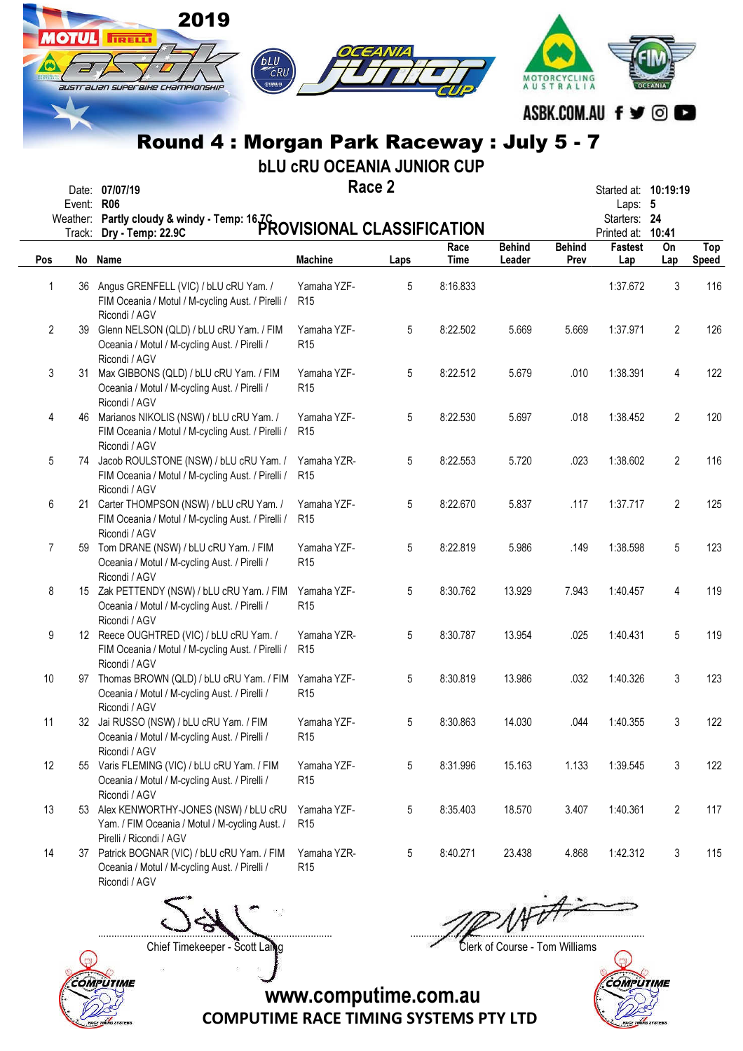|                |            | 2019<br>तिल्लाम<br>CRU                                                                                            |                                                                 |        |                     |                         |                       |                                                                             |                |                            |
|----------------|------------|-------------------------------------------------------------------------------------------------------------------|-----------------------------------------------------------------|--------|---------------------|-------------------------|-----------------------|-----------------------------------------------------------------------------|----------------|----------------------------|
|                |            | australian superaixe championship<br>Round 4: Morgan Park Raceway: July 5 - 7                                     |                                                                 |        |                     |                         | AUSTRALIA             | ASBK.COM.AU f y ©                                                           |                |                            |
|                | Event: R06 | Date: 07/07/19<br>Weather: Partly cloudy & windy - Temp: 16.ZC<br>Track: Dry - Temp: 22.9C                        | <b>bLU CRU OCEANIA JUNIOR CUP</b><br>PROVISIONAL CLASSIFICATION | Race 2 |                     |                         |                       | Started at: <b>10:19:19</b><br>Laps: 5<br>Starters: 24<br>Printed at: 10:41 |                |                            |
| Pos            |            | No Name                                                                                                           | <b>Machine</b>                                                  | Laps   | Race<br><b>Time</b> | <b>Behind</b><br>Leader | <b>Behind</b><br>Prev | Fastest<br>Lap                                                              | On<br>Lap      | <b>Top</b><br><b>Speed</b> |
| $\mathbf{1}$   | 36         | Angus GRENFELL (VIC) / bLU cRU Yam. /<br>FIM Oceania / Motul / M-cycling Aust. / Pirelli /<br>Ricondi / AGV       | Yamaha YZF-<br>R <sub>15</sub>                                  | 5      | 8:16.833            |                         |                       | 1:37.672                                                                    | 3              | 116                        |
| $\overline{2}$ |            | 39 Glenn NELSON (QLD) / bLU cRU Yam. / FIM<br>Oceania / Motul / M-cycling Aust. / Pirelli /<br>Ricondi / AGV      | Yamaha YZF-<br>R <sub>15</sub>                                  | 5      | 8:22.502            | 5.669                   | 5.669                 | 1:37.971                                                                    | $\overline{2}$ | 126                        |
| 3              | 31.        | Max GIBBONS (QLD) / bLU cRU Yam. / FIM<br>Oceania / Motul / M-cycling Aust. / Pirelli /<br>Ricondi / AGV          | Yamaha YZF-<br>R <sub>15</sub>                                  | 5      | 8:22.512            | 5.679                   | .010                  | 1:38.391                                                                    | 4              | 122                        |
| 4              |            | 46 Marianos NIKOLIS (NSW) / bLU cRU Yam. /<br>FIM Oceania / Motul / M-cycling Aust. / Pirelli /<br>Ricondi / AGV  | Yamaha YZF-<br>R <sub>15</sub>                                  | 5      | 8:22.530            | 5.697                   | .018                  | 1:38.452                                                                    | 2              | 120                        |
| 5              |            | 74 Jacob ROULSTONE (NSW) / bLU cRU Yam. /<br>FIM Oceania / Motul / M-cycling Aust. / Pirelli /<br>Ricondi / AGV   | Yamaha YZR-<br>R <sub>15</sub>                                  | 5      | 8:22.553            | 5.720                   | .023                  | 1:38.602                                                                    | $\overline{2}$ | 116                        |
| 6              |            | 21 Carter THOMPSON (NSW) / bLU cRU Yam. /<br>FIM Oceania / Motul / M-cycling Aust. / Pirelli /<br>Ricondi / AGV   | Yamaha YZF-<br>R <sub>15</sub>                                  | 5      | 8:22.670            | 5.837                   | .117                  | 1:37.717                                                                    | $\overline{2}$ | 125                        |
| 7              |            | 59 Tom DRANE (NSW) / bLU cRU Yam. / FIM<br>Oceania / Motul / M-cycling Aust. / Pirelli /<br>Ricondi / AGV         | Yamaha YZF-<br>R <sub>15</sub>                                  | 5      | 8:22.819            | 5.986                   | .149                  | 1:38.598                                                                    | 5              | 123                        |
| 8              |            | 15 Zak PETTENDY (NSW) / bLU cRU Yam. / FIM<br>Oceania / Motul / M-cycling Aust. / Pirelli /<br>Ricondi / AGV      | Yamaha YZF-<br>R <sub>15</sub>                                  | 5      | 8:30.762            | 13.929                  | 7.943                 | 1:40.457                                                                    | 4              | 119                        |
| 9              |            | 12 Reece OUGHTRED (VIC) / bLU cRU Yam. /<br>FIM Oceania / Motul / M-cycling Aust. / Pirelli /<br>Ricondi / AGV    | Yamaha YZR-<br>R <sub>15</sub>                                  | 5      | 8:30.787            | 13.954                  | .025                  | 1:40.431                                                                    | 5              | 119                        |
| 10             |            | 97 Thomas BROWN (QLD) / bLU cRU Yam. / FIM<br>Oceania / Motul / M-cycling Aust. / Pirelli /<br>Ricondi / AGV      | Yamaha YZF-<br>R <sub>15</sub>                                  | 5      | 8:30.819            | 13.986                  | .032                  | 1:40.326                                                                    | 3              | 123                        |
| 11             |            | 32 Jai RUSSO (NSW) / bLU cRU Yam. / FIM<br>Oceania / Motul / M-cycling Aust. / Pirelli /<br>Ricondi / AGV         | Yamaha YZF-<br>R <sub>15</sub>                                  | 5      | 8:30.863            | 14.030                  | .044                  | 1:40.355                                                                    | 3              | 122                        |
| 12             |            | 55 Varis FLEMING (VIC) / bLU cRU Yam. / FIM<br>Oceania / Motul / M-cycling Aust. / Pirelli /<br>Ricondi / AGV     | Yamaha YZF-<br>R <sub>15</sub>                                  | 5      | 8:31.996            | 15.163                  | 1.133                 | 1:39.545                                                                    | 3              | 122                        |
| 13             | 53         | Alex KENWORTHY-JONES (NSW) / bLU cRU<br>Yam. / FIM Oceania / Motul / M-cycling Aust. /<br>Pirelli / Ricondi / AGV | Yamaha YZF-<br>R <sub>15</sub>                                  | 5      | 8:35.403            | 18.570                  | 3.407                 | 1:40.361                                                                    | $\overline{2}$ | 117                        |
| 14             | 37         | Patrick BOGNAR (VIC) / bLU cRU Yam. / FIM<br>Oceania / Motul / M-cycling Aust. / Pirelli /<br>Ricondi / AGV       | Yamaha YZR-<br>R <sub>15</sub>                                  | 5      | 8:40.271            | 23.438                  | 4.868                 | 1:42.312                                                                    | 3              | 115                        |



Chief Timekeeper - Scott Laing Clerk of Course - Tom Williams



COMPUTIME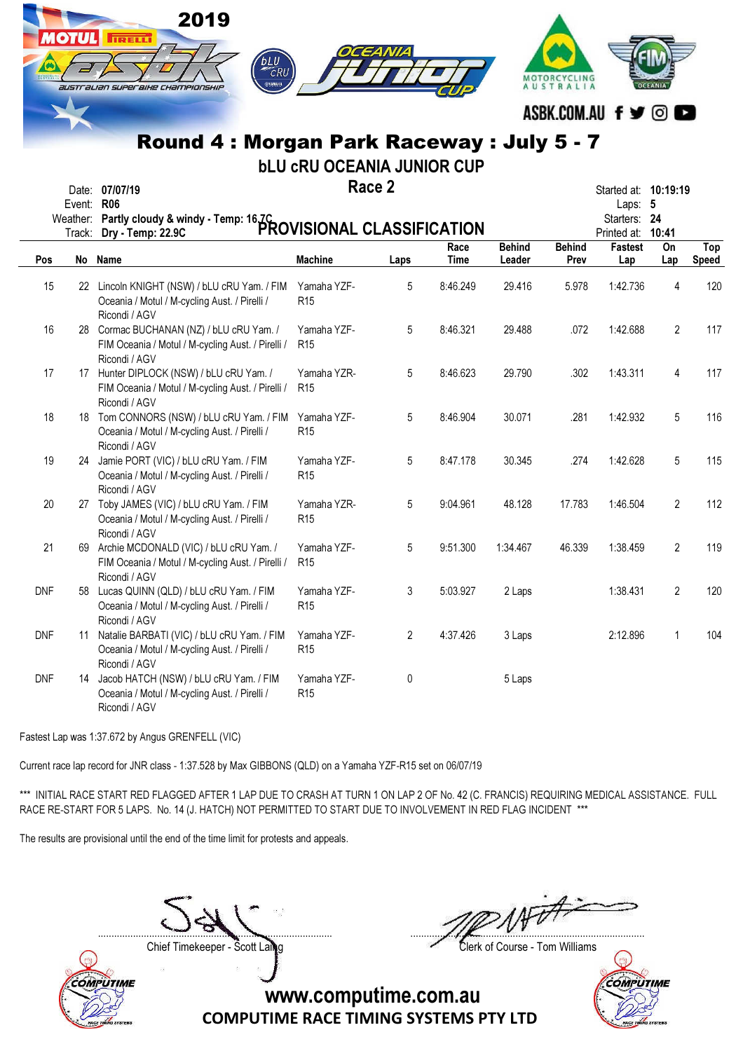|            | <b>IOTUL</b> | 2019<br>TRELL<br>bLU<br>CRU<br>⊕YAMAHI<br>australian superaine championship<br>Round 4: Morgan Park Raceway: July 5 - 7    |                                   |        |             |               | MOTORCYCLING<br>AUSTRALIA | ASBK.COM.AU f y © O               |                |              |
|------------|--------------|----------------------------------------------------------------------------------------------------------------------------|-----------------------------------|--------|-------------|---------------|---------------------------|-----------------------------------|----------------|--------------|
|            |              |                                                                                                                            | <b>bLU CRU OCEANIA JUNIOR CUP</b> |        |             |               |                           |                                   |                |              |
|            |              | Date: 07/07/19                                                                                                             |                                   | Race 2 |             |               |                           | Started at: <b>10:19:19</b>       |                |              |
|            | Event: R06   |                                                                                                                            |                                   |        |             |               |                           | Laps: 5                           |                |              |
|            |              | Weather: Partly cloudy & windy - Temp: 16,7C<br>Weather: Partly cloudy & windy - Temp: 16,7C<br>PROVISIONAL CLASSIFICATION |                                   |        |             |               |                           | Starters: 24<br>Printed at: 10:41 |                |              |
|            |              |                                                                                                                            |                                   |        | Race        | <b>Behind</b> | <b>Behind</b>             | <b>Fastest</b>                    | On             | <b>Top</b>   |
| Pos        |              | No Name                                                                                                                    | <b>Machine</b>                    | Laps   | <b>Time</b> | Leader        | Prev                      | Lap                               | Lap            | <b>Speed</b> |
| 15         |              | 22 Lincoln KNIGHT (NSW) / bLU cRU Yam. / FIM<br>Oceania / Motul / M-cycling Aust. / Pirelli /<br>Ricondi / AGV             | Yamaha YZF-<br>R <sub>15</sub>    | 5      | 8:46.249    | 29.416        | 5.978                     | 1:42.736                          | 4              | 120          |
| 16         |              | 28 Cormac BUCHANAN (NZ) / bLU cRU Yam. /<br>FIM Oceania / Motul / M-cycling Aust. / Pirelli /<br>Ricondi / AGV             | Yamaha YZF-<br>R <sub>15</sub>    | 5      | 8:46.321    | 29.488        | .072                      | 1:42.688                          | $\overline{2}$ | 117          |
| 17         |              | 17 Hunter DIPLOCK (NSW) / bLU cRU Yam. /<br>FIM Oceania / Motul / M-cycling Aust. / Pirelli /<br>Ricondi / AGV             | Yamaha YZR-<br>R <sub>15</sub>    | 5      | 8:46.623    | 29.790        | .302                      | 1:43.311                          | 4              | 117          |
| 18         |              | 18 Tom CONNORS (NSW) / bLU cRU Yam. / FIM<br>Oceania / Motul / M-cycling Aust. / Pirelli /<br>Ricondi / AGV                | Yamaha YZF-<br>R <sub>15</sub>    | 5      | 8:46.904    | 30.071        | .281                      | 1:42.932                          | 5              | 116          |
| 19         |              | 24 Jamie PORT (VIC) / bLU cRU Yam. / FIM<br>Oceania / Motul / M-cycling Aust. / Pirelli /<br>Ricondi / AGV                 | Yamaha YZF-<br>R <sub>15</sub>    | 5      | 8:47.178    | 30.345        | .274                      | 1:42.628                          | 5              | 115          |
| 20         |              | 27 Toby JAMES (VIC) / bLU cRU Yam. / FIM<br>Oceania / Motul / M-cycling Aust. / Pirelli /<br>Ricondi / AGV                 | Yamaha YZR-<br>R <sub>15</sub>    | 5      | 9:04.961    | 48.128        | 17.783                    | 1:46.504                          | 2              | 112          |
| 21         |              | 69 Archie MCDONALD (VIC) / bLU cRU Yam. /<br>FIM Oceania / Motul / M-cycling Aust. / Pirelli / R15<br>Ricondi / AGV        | Yamaha YZF-                       | 5      | 9:51.300    | 1:34.467      | 46.339                    | 1:38.459                          | 2              | 119          |
| <b>DNF</b> | 58           | Lucas QUINN (QLD) / bLU cRU Yam. / FIM<br>Oceania / Motul / M-cycling Aust. / Pirelli /<br>Ricondi / AGV                   | Yamaha YZF-<br>R <sub>15</sub>    | 3      | 5:03.927    | 2 Laps        |                           | 1:38.431                          | 2              | 120          |
| <b>DNF</b> | 11           | Natalie BARBATI (VIC) / bLU cRU Yam. / FIM<br>Oceania / Motul / M-cycling Aust. / Pirelli /<br>Ricondi / AGV               | Yamaha YZF-<br>R <sub>15</sub>    | 2      | 4:37.426    | 3 Laps        |                           | 2:12.896                          | 1              | 104          |
| <b>DNF</b> |              | 14 Jacob HATCH (NSW) / bLU cRU Yam. / FIM<br>Oceania / Motul / M-cycling Aust. / Pirelli /<br>Ricondi / AGV                | Yamaha YZF-<br>R <sub>15</sub>    | 0      |             | 5 Laps        |                           |                                   |                |              |

Fastest Lap was 1:37.672 by Angus GRENFELL (VIC)

Current race lap record for JNR class - 1:37.528 by Max GIBBONS (QLD) on a Yamaha YZF-R15 set on 06/07/19

\*\*\* INITIAL RACE START RED FLAGGED AFTER 1 LAP DUE TO CRASH AT TURN 1 ON LAP 2 OF No. 42 (C. FRANCIS) REQUIRING MEDICAL ASSISTANCE. FULL RACE RE-START FOR 5 LAPS. No. 14 (J. HATCH) NOT PERMITTED TO START DUE TO INVOLVEMENT IN RED FLAG INCIDENT \*\*\*

The results are provisional until the end of the time limit for protests and appeals.

....................................................................................... .......................................................................................



Chief Timekeeper - Scott Laing Clerk of Course - Tom Williams

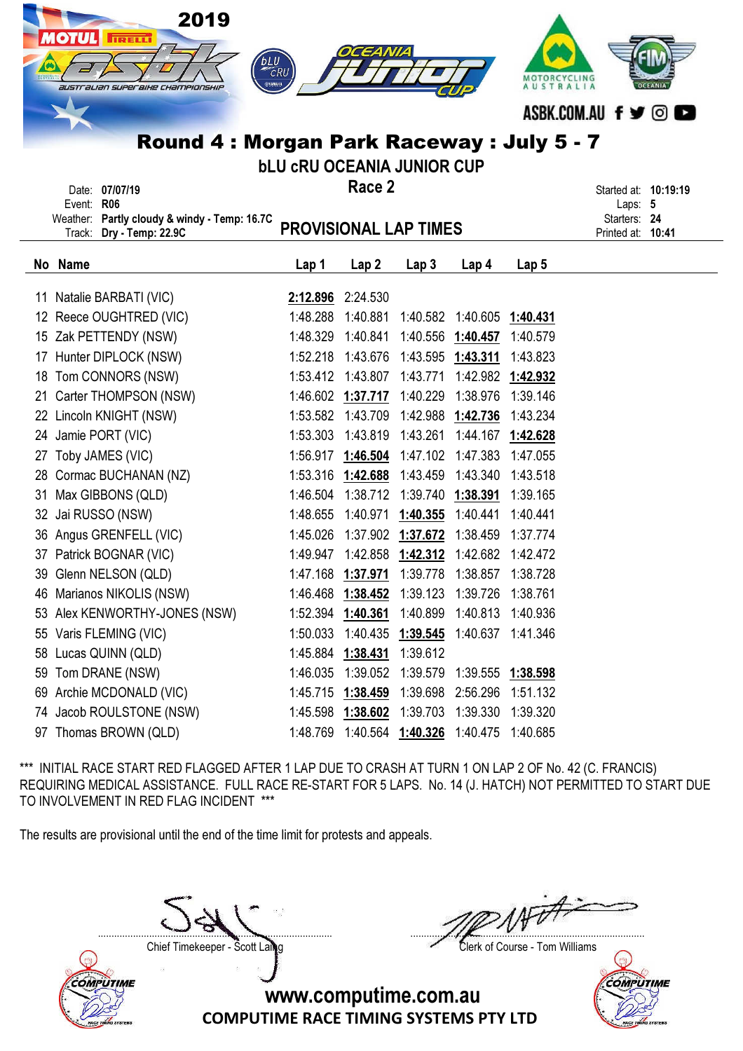|          | 2019<br><b>AOTUL FIRELL</b><br>australian superaihe Championship<br>Round 4 : Morgan Park Raceway : July 5 - 7<br>Date: 07/07/19<br>Event: R06<br>Weather: Partly cloudy & windy - Temp: 16.7C | <b>bLU</b><br>⊜удмана<br><b>bLU CRU OCEANIA JUNIOR CUP</b> | OCEANIA<br>Race 2                      |                   |                   | MOTORCYCLING<br>AUSTRALIA | ASBK.COM.AU f ♥ © I<br>Started at: 10:19:19<br>Laps: 5<br>Starters: 24 |
|----------|------------------------------------------------------------------------------------------------------------------------------------------------------------------------------------------------|------------------------------------------------------------|----------------------------------------|-------------------|-------------------|---------------------------|------------------------------------------------------------------------|
|          | Dry - Temp: 22.9C<br>Track:                                                                                                                                                                    | <b>PROVISIONAL LAP TIMES</b>                               |                                        |                   |                   |                           | Printed at: 10:41                                                      |
|          | No Name                                                                                                                                                                                        | Lap 1                                                      | Lap <sub>2</sub>                       | Lap <sub>3</sub>  | Lap 4             | Lap <sub>5</sub>          |                                                                        |
|          |                                                                                                                                                                                                |                                                            |                                        |                   |                   |                           |                                                                        |
|          | 11 Natalie BARBATI (VIC)<br>12 Reece OUGHTRED (VIC)                                                                                                                                            | 2:12.896 2:24.530<br>1:48.288                              | 1:40.881                               | 1:40.582          | 1:40.605          |                           |                                                                        |
| 15       | Zak PETTENDY (NSW)                                                                                                                                                                             | 1:48.329                                                   | 1:40.841                               |                   | 1:40.556 1:40.457 | 1:40.431<br>1:40.579      |                                                                        |
| 17       | Hunter DIPLOCK (NSW)                                                                                                                                                                           |                                                            | 1:52.218 1:43.676                      |                   | 1:43.595 1:43.311 | 1:43.823                  |                                                                        |
|          | Tom CONNORS (NSW)                                                                                                                                                                              |                                                            | 1:53.412 1:43.807                      | 1:43.771          | 1:42.982          |                           |                                                                        |
| 18<br>21 | Carter THOMPSON (NSW)                                                                                                                                                                          |                                                            | 1:46.602 1:37.717 1:40.229             |                   | 1:38.976          | 1:42.932<br>1:39.146      |                                                                        |
| 22       | Lincoln KNIGHT (NSW)                                                                                                                                                                           |                                                            | 1:53.582 1:43.709                      | 1:42.988          | 1:42.736          | 1:43.234                  |                                                                        |
| 24       | Jamie PORT (VIC)                                                                                                                                                                               | 1:53.303                                                   | 1:43.819                               | 1:43.261          | 1:44.167          | 1:42.628                  |                                                                        |
| 27       | Toby JAMES (VIC)                                                                                                                                                                               |                                                            | 1:56.917 1:46.504                      | 1:47.102          | 1:47.383          | 1:47.055                  |                                                                        |
|          | 28 Cormac BUCHANAN (NZ)                                                                                                                                                                        |                                                            | 1:53.316 1:42.688                      | 1:43.459          | 1:43.340          | 1:43.518                  |                                                                        |
| 31       | Max GIBBONS (QLD)                                                                                                                                                                              |                                                            | 1:46.504 1:38.712                      | 1:39.740          | 1:38.391          | 1:39.165                  |                                                                        |
| 32       | Jai RUSSO (NSW)                                                                                                                                                                                | 1:48.655                                                   | 1:40.971                               | 1:40.355          | 1:40.441          | 1:40.441                  |                                                                        |
|          | 36 Angus GRENFELL (VIC)                                                                                                                                                                        | 1:45.026                                                   | 1:37.902                               | 1:37.672          | 1:38.459          | 1:37.774                  |                                                                        |
|          | 37 Patrick BOGNAR (VIC)                                                                                                                                                                        |                                                            | 1:49.947  1:42.858  1:42.312  1:42.682 |                   |                   | 1:42.472                  |                                                                        |
| 39       | Glenn NELSON (QLD)                                                                                                                                                                             | 1:47.168                                                   | 1:37.971                               | 1:39.778          | 1:38.857          | 1:38.728                  |                                                                        |
| 46       | Marianos NIKOLIS (NSW)                                                                                                                                                                         | 1:46.468                                                   | 1:38.452                               | 1:39.123          | 1:39.726          | 1:38.761                  |                                                                        |
| 53       | Alex KENWORTHY-JONES (NSW)                                                                                                                                                                     | 1:52.394                                                   | 1:40.361                               | 1:40.899          | 1:40.813          | 1:40.936                  |                                                                        |
| 55       | Varis FLEMING (VIC)                                                                                                                                                                            | 1:50.033                                                   | 1:40.435 1:39.545                      |                   | 1:40.637          | 1:41.346                  |                                                                        |
| 58       | Lucas QUINN (QLD)                                                                                                                                                                              | 1:45.884                                                   | 1:38.431                               | 1:39.612          |                   |                           |                                                                        |
| 59       | Tom DRANE (NSW)                                                                                                                                                                                | 1:46.035                                                   | 1:39.052                               | 1:39.579          | 1:39.555          | 1:38.598                  |                                                                        |
| 69       | Archie MCDONALD (VIC)                                                                                                                                                                          | 1:45.715                                                   | 1:38.459                               | 1:39.698          | 2:56.296          | 1:51.132                  |                                                                        |
| 74       | Jacob ROULSTONE (NSW)                                                                                                                                                                          | 1:45.598                                                   | 1:38.602                               | 1:39.703          | 1:39.330          | 1:39.320                  |                                                                        |
|          | 97 Thomas BROWN (QLD)                                                                                                                                                                          | 1:48.769                                                   |                                        | 1:40.564 1:40.326 | 1:40.475          | 1:40.685                  |                                                                        |

The results are provisional until the end of the time limit for protests and appeals.

Chief Timekeeper - Scott Laing Clerk of Course - Tom Williams



....................................................................................... .......................................................................................

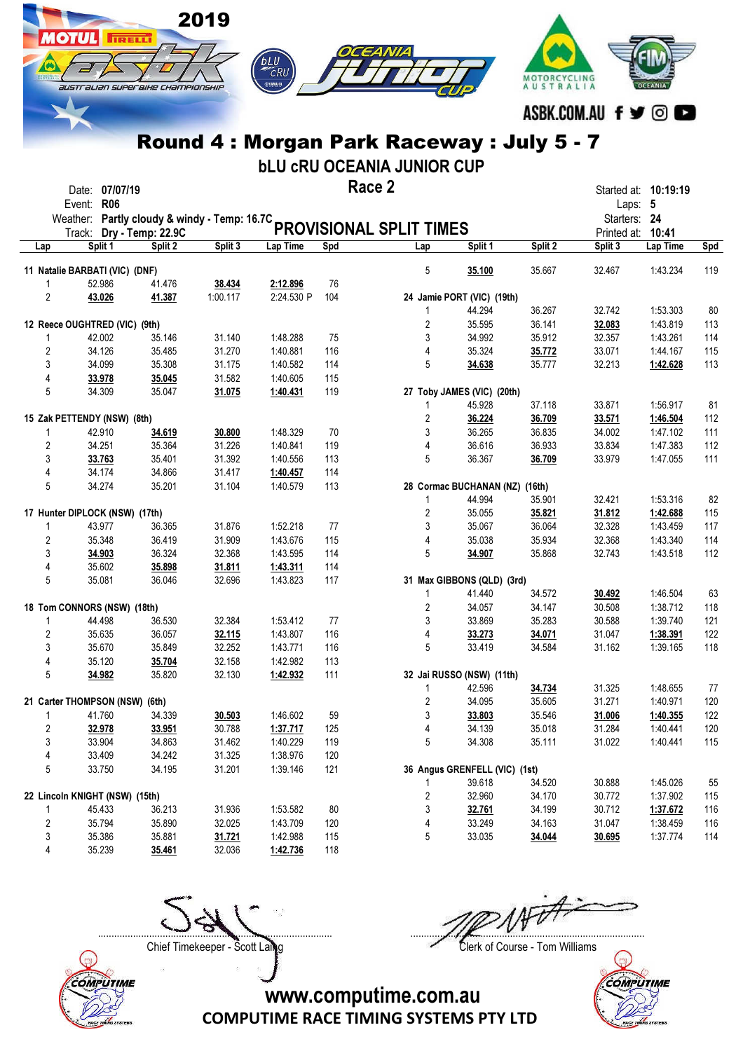|                     |                                |                  |                                   | 2019             |                      |            |                                                                         |                                |                  |                             |                      |            |
|---------------------|--------------------------------|------------------|-----------------------------------|------------------|----------------------|------------|-------------------------------------------------------------------------|--------------------------------|------------------|-----------------------------|----------------------|------------|
|                     | otul                           | <b>IRELLI</b>    |                                   |                  |                      |            |                                                                         |                                |                  |                             |                      |            |
|                     |                                |                  |                                   |                  | bLU                  |            |                                                                         |                                |                  |                             |                      |            |
|                     |                                |                  |                                   |                  | CRU                  |            |                                                                         |                                | MOTORCYCLING     |                             |                      |            |
|                     |                                |                  | australian superaike championskip |                  | ⊜улмана              |            |                                                                         |                                | <b>AUSTRALIA</b> |                             |                      |            |
|                     |                                |                  |                                   |                  |                      |            |                                                                         |                                |                  |                             |                      |            |
|                     |                                |                  |                                   |                  |                      |            |                                                                         |                                |                  | ASBK.COM.AU f ♥ ◎           |                      |            |
|                     |                                |                  |                                   |                  |                      |            | Round 4 : Morgan Park Raceway : July 5 - 7                              |                                |                  |                             |                      |            |
|                     |                                |                  |                                   |                  |                      |            |                                                                         |                                |                  |                             |                      |            |
|                     |                                |                  |                                   |                  |                      |            | <b>bLU CRU OCEANIA JUNIOR CUP</b>                                       |                                |                  |                             |                      |            |
|                     |                                | Date: 07/07/19   |                                   |                  |                      |            | Race 2                                                                  |                                |                  | Started at: <b>10:19:19</b> |                      |            |
|                     | Event: R06                     |                  |                                   |                  |                      |            |                                                                         |                                |                  | Laps: 5                     |                      |            |
|                     |                                |                  |                                   |                  |                      |            | Weather: Partly cloudy & windy - Temp: 16.7C<br>PROVISIONAL SPLIT TIMES |                                |                  | Starters: 24                |                      |            |
|                     |                                |                  |                                   |                  |                      |            |                                                                         |                                |                  | Printed at: 10:41           |                      |            |
| Lap                 |                                | Split 1          | Split 2                           | Split 3          | Lap Time             | Spd        | Lap                                                                     | Split 1                        | Split 2          | Split 3                     | Lap Time             | Spd        |
|                     | 11 Natalie BARBATI (VIC) (DNF) |                  |                                   |                  |                      |            | 5                                                                       | 35.100                         | 35.667           | 32.467                      | 1:43.234             | 119        |
| 1                   |                                | 52.986           | 41.476                            | 38.434           | 2:12.896             | 76         |                                                                         |                                |                  |                             |                      |            |
| $\overline{2}$      |                                | 43.026           | 41.387                            | 1:00.117         | 2:24.530 P           | 104        |                                                                         | 24 Jamie PORT (VIC) (19th)     |                  |                             |                      |            |
|                     |                                |                  |                                   |                  |                      |            | 1                                                                       | 44.294                         | 36.267           | 32.742                      | 1:53.303             | 80         |
|                     | 12 Reece OUGHTRED (VIC) (9th)  | 42.002           | 35.146                            | 31.140           | 1:48.288             | 75         | 2<br>3                                                                  | 35.595<br>34.992               | 36.141<br>35.912 | 32.083<br>32.357            | 1:43.819<br>1:43.261 | 113<br>114 |
| 1<br>$\overline{2}$ |                                | 34.126           | 35.485                            | 31.270           | 1:40.881             | 116        | 4                                                                       | 35.324                         | 35.772           | 33.071                      | 1:44.167             | 115        |
| 3                   |                                | 34.099           | 35.308                            | 31.175           | 1:40.582             | 114        | 5                                                                       | 34.638                         | 35.777           | 32.213                      | 1:42.628             | 113        |
| 4                   |                                | 33.978           | 35.045                            | 31.582           | 1:40.605             | 115        |                                                                         |                                |                  |                             |                      |            |
| 5                   |                                | 34.309           | 35.047                            | 31.075           | 1:40.431             | 119        |                                                                         | 27 Toby JAMES (VIC) (20th)     |                  |                             |                      |            |
|                     |                                |                  |                                   |                  |                      |            | 1                                                                       | 45.928                         | 37.118           | 33.871                      | 1:56.917             | 81         |
|                     | 15 Zak PETTENDY (NSW) (8th)    |                  |                                   |                  |                      |            | 2                                                                       | 36.224                         | 36.709           | 33.571                      | 1:46.504             | 112        |
| 1                   |                                | 42.910           | 34.619                            | 30.800           | 1:48.329             | 70         | 3                                                                       | 36.265                         | 36.835           | 34.002                      | 1:47.102             | 111        |
| 2                   |                                | 34.251           | 35.364                            | 31.226           | 1:40.841             | 119        | 4                                                                       | 36.616                         | 36.933           | 33.834                      | 1:47.383             | 112        |
| 3                   |                                | 33.763           | 35.401                            | 31.392           | 1:40.556             | 113        | 5                                                                       | 36.367                         | 36.709           | 33.979                      | 1:47.055             | 111        |
| 4                   |                                | 34.174           | 34.866                            | 31.417           | 1:40.457             | 114        |                                                                         |                                |                  |                             |                      |            |
| 5                   |                                | 34.274           | 35.201                            | 31.104           | 1:40.579             | 113        |                                                                         | 28 Cormac BUCHANAN (NZ) (16th) |                  |                             |                      |            |
|                     |                                |                  |                                   |                  |                      |            | 1                                                                       | 44.994                         | 35.901           | 32.421                      | 1:53.316             | 82         |
|                     | 17 Hunter DIPLOCK (NSW) (17th) |                  |                                   |                  |                      |            | 2                                                                       | 35.055                         | 35.821           | 31.812                      | 1:42.688             | 115        |
| 1                   |                                | 43.977           | 36.365                            | 31.876           | 1:52.218             | 77         | 3                                                                       | 35.067                         | 36.064           | 32.328                      | 1:43.459             | 117        |
| $\overline{2}$      |                                | 35.348           | 36.419                            | 31.909           | 1:43.676             | 115        | 4                                                                       | 35.038                         | 35.934           | 32.368                      | 1:43.340             | 114        |
| 3                   |                                | 34.903           | 36.324                            | 32.368           | 1:43.595             | 114        | 5                                                                       | 34.907                         | 35.868           | 32.743                      | 1:43.518             | 112        |
| 4<br>5              |                                | 35.602<br>35.081 | 35.898<br>36.046                  | 31.811<br>32.696 | 1:43.311<br>1:43.823 | 114<br>117 |                                                                         | 31 Max GIBBONS (QLD) (3rd)     |                  |                             |                      |            |
|                     |                                |                  |                                   |                  |                      |            | 1                                                                       | 41.440                         | 34.572           | 30.492                      | 1:46.504             | 63         |
|                     | 18 Tom CONNORS (NSW) (18th)    |                  |                                   |                  |                      |            | $\overline{c}$                                                          | 34.057                         | 34.147           | 30.508                      | 1:38.712             | 118        |
| 1                   |                                | 44.498           | 36.530                            | 32.384           | 1:53.412             | 77         | 3                                                                       | 33.869                         | 35.283           | 30.588                      | 1:39.740             | 121        |
| $\overline{2}$      |                                | 35.635           | 36.057                            | 32.115           | 1:43.807             | 116        | 4                                                                       | 33.273                         | 34.071           | 31.047                      | 1:38.391             | 122        |
| 3                   |                                | 35.670           | 35.849                            | 32.252           | 1:43.771             | 116        | 5                                                                       | 33.419                         | 34.584           | 31.162                      | 1:39.165             | 118        |
| 4                   |                                | 35.120           | 35.704                            | 32.158           | 1:42.982             | 113        |                                                                         |                                |                  |                             |                      |            |
|                     | 5                              | 34.982           | 35.820                            | 32.130           | 1:42.932             | 111        |                                                                         | 32 Jai RUSSO (NSW) (11th)      |                  |                             |                      |            |
|                     |                                |                  |                                   |                  |                      |            | 1                                                                       | 42.596                         | 34.734           | 31.325                      | 1:48.655             | 77         |
|                     | 21 Carter THOMPSON (NSW) (6th) |                  |                                   |                  |                      |            | 2                                                                       | 34.095                         | 35.605           | 31.271                      | 1:40.971             | 120        |
| 1                   |                                | 41.760           | 34.339                            | 30.503           | 1:46.602             | 59         | 3                                                                       | 33.803                         | 35.546           | 31.006                      | 1:40.355             | 122        |
| $\overline{2}$      |                                | 32.978           | 33.951                            | 30.788           | 1:37.717             | 125        | 4                                                                       | 34.139                         | 35.018           | 31.284                      | 1:40.441             | 120        |
| 3                   |                                | 33.904           | 34.863                            | 31.462           | 1:40.229             | 119        | 5                                                                       | 34.308                         | 35.111           | 31.022                      | 1:40.441             | 115        |
| 4<br>5              |                                | 33.409<br>33.750 | 34.242<br>34.195                  | 31.325<br>31.201 | 1:38.976             | 120<br>121 |                                                                         | 36 Angus GRENFELL (VIC) (1st)  |                  |                             |                      |            |
|                     |                                |                  |                                   |                  | 1:39.146             |            | 1                                                                       | 39.618                         | 34.520           | 30.888                      | 1:45.026             | 55         |
|                     | 22 Lincoln KNIGHT (NSW) (15th) |                  |                                   |                  |                      |            | 2                                                                       | 32.960                         | 34.170           | 30.772                      | 1:37.902             | 115        |
| $\mathbf{1}$        |                                | 45.433           | 36.213                            | 31.936           | 1:53.582             | 80         | 3                                                                       | 32.761                         | 34.199           | 30.712                      | 1:37.672             | 116        |
| $\overline{2}$      |                                | 35.794           | 35.890                            | 32.025           | 1:43.709             | 120        | 4                                                                       | 33.249                         | 34.163           | 31.047                      | 1:38.459             | 116        |
| 3                   |                                | 35.386           | 35.881                            | 31.721           | 1:42.988             | 115        | 5                                                                       | 33.035                         | 34.044           | 30.695                      | 1:37.774             | 114        |

4 35.239 35.461 32.036 1:42.736 118



....................................................................................... .......................................................................................

Chief Timekeeper - Scott Laing Clerk of Course - Tom Williams



www.computime.com.au

COMPUTIME RACE TIMING SYSTEMS PTY LTD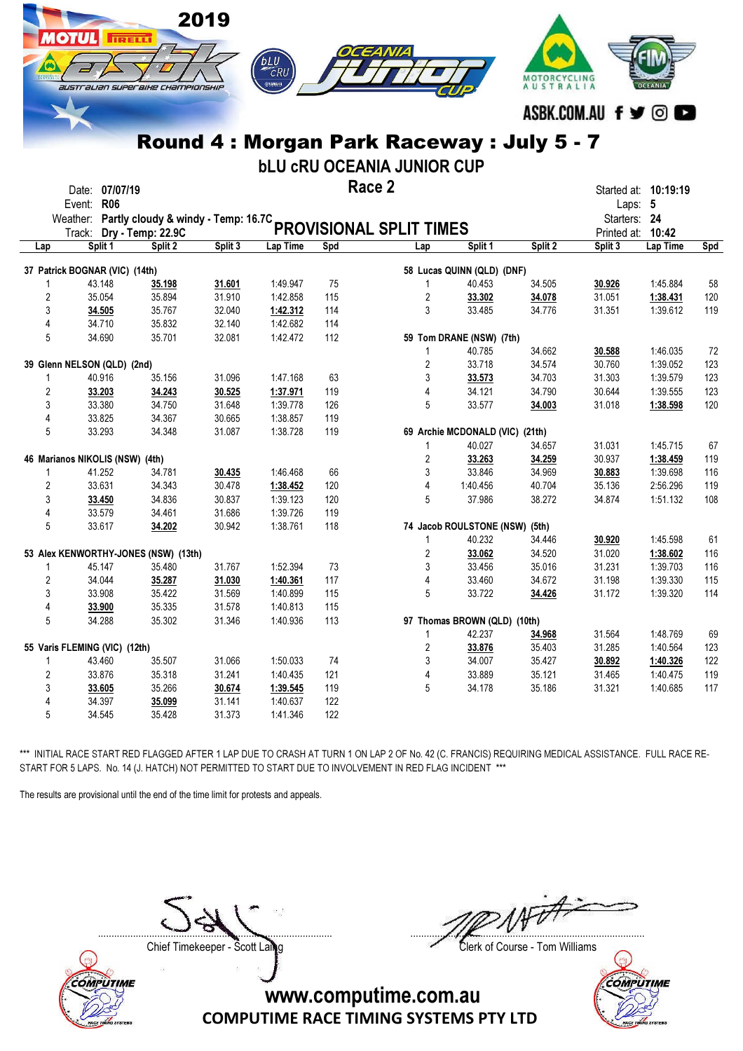

## Round 4 : Morgan Park Raceway : July 5 - 7

bLU cRU OCEANIA JUNIOR CUP

Race 2 Date: 07/07/19 **Started at: 10:19:19** Started at: 10:19:19

|                | Event: R06<br>Weather:               | Partly cloudy & windy - Temp: 16.7C |         |          |     | PROVISIONAL SPLIT TIMES |                                 |         | Starters: 24           | Laps: 5           |     |
|----------------|--------------------------------------|-------------------------------------|---------|----------|-----|-------------------------|---------------------------------|---------|------------------------|-------------------|-----|
| Lap            | Track: Dry - Temp: 22.9C<br>Split 1  | Split 2                             | Split 3 | Lap Time | Spd | Lap                     | Split 1                         | Split 2 | Printed at:<br>Split 3 | 10:42<br>Lap Time | Spd |
|                |                                      |                                     |         |          |     |                         |                                 |         |                        |                   |     |
|                | 37 Patrick BOGNAR (VIC) (14th)       |                                     |         |          |     |                         | 58 Lucas QUINN (QLD) (DNF)      |         |                        |                   |     |
| 1              | 43.148                               | 35.198                              | 31.601  | 1:49.947 | 75  | 1                       | 40.453                          | 34.505  | 30.926                 | 1:45.884          | 58  |
| $\overline{c}$ | 35.054                               | 35.894                              | 31.910  | 1:42.858 | 115 | 2                       | 33.302                          | 34.078  | 31.051                 | 1:38.431          | 120 |
| 3              | 34.505                               | 35.767                              | 32.040  | 1:42.312 | 114 | 3                       | 33.485                          | 34.776  | 31.351                 | 1:39.612          | 119 |
| $\overline{4}$ | 34.710                               | 35.832                              | 32.140  | 1:42.682 | 114 |                         |                                 |         |                        |                   |     |
| 5              | 34.690                               | 35.701                              | 32.081  | 1:42.472 | 112 |                         | 59 Tom DRANE (NSW) (7th)        |         |                        |                   |     |
|                |                                      |                                     |         |          |     | 1                       | 40.785                          | 34.662  | 30.588                 | 1:46.035          | 72  |
|                | 39 Glenn NELSON (QLD) (2nd)          |                                     |         |          |     | $\overline{2}$          | 33.718                          | 34.574  | 30.760                 | 1:39.052          | 123 |
| 1              | 40.916                               | 35.156                              | 31.096  | 1:47.168 | 63  | 3                       | 33.573                          | 34.703  | 31.303                 | 1:39.579          | 123 |
| $\overline{2}$ | 33.203                               | 34.243                              | 30.525  | 1:37.971 | 119 | 4                       | 34.121                          | 34.790  | 30.644                 | 1:39.555          | 123 |
| 3              | 33.380                               | 34.750                              | 31.648  | 1:39.778 | 126 | 5                       | 33.577                          | 34.003  | 31.018                 | 1:38.598          | 120 |
| $\overline{4}$ | 33.825                               | 34.367                              | 30.665  | 1:38.857 | 119 |                         |                                 |         |                        |                   |     |
| 5              | 33.293                               | 34.348                              | 31.087  | 1:38.728 | 119 |                         | 69 Archie MCDONALD (VIC) (21th) |         |                        |                   |     |
|                |                                      |                                     |         |          |     | 1                       | 40.027                          | 34.657  | 31.031                 | 1:45.715          | 67  |
|                | 46 Marianos NIKOLIS (NSW) (4th)      |                                     |         |          |     | 2                       | 33.263                          | 34.259  | 30.937                 | 1:38.459          | 119 |
| 1              | 41.252                               | 34.781                              | 30.435  | 1:46.468 | 66  | 3                       | 33.846                          | 34.969  | 30.883                 | 1:39.698          | 116 |
| $\overline{2}$ | 33.631                               | 34.343                              | 30.478  | 1:38.452 | 120 | 4                       | 1:40.456                        | 40.704  | 35.136                 | 2:56.296          | 119 |
| 3              | 33.450                               | 34.836                              | 30.837  | 1:39.123 | 120 | 5                       | 37.986                          | 38.272  | 34.874                 | 1:51.132          | 108 |
| 4              | 33.579                               | 34.461                              | 31.686  | 1:39.726 | 119 |                         |                                 |         |                        |                   |     |
| 5              | 33.617                               | 34.202                              | 30.942  | 1:38.761 | 118 |                         | 74 Jacob ROULSTONE (NSW) (5th)  |         |                        |                   |     |
|                |                                      |                                     |         |          |     | 1                       | 40.232                          | 34.446  | 30.920                 | 1:45.598          | 61  |
|                | 53 Alex KENWORTHY-JONES (NSW) (13th) |                                     |         |          |     | $\overline{2}$          | 33.062                          | 34.520  | 31.020                 | 1:38.602          | 116 |
| $\mathbf{1}$   | 45.147                               | 35.480                              | 31.767  | 1:52.394 | 73  | 3                       | 33.456                          | 35.016  | 31.231                 | 1:39.703          | 116 |
| 2              | 34.044                               | 35.287                              | 31.030  | 1:40.361 | 117 | 4                       | 33.460                          | 34.672  | 31.198                 | 1:39.330          | 115 |
| 3              | 33.908                               | 35.422                              | 31.569  | 1:40.899 | 115 | 5                       | 33.722                          | 34.426  | 31.172                 | 1:39.320          | 114 |
| 4              | 33.900                               | 35.335                              | 31.578  | 1:40.813 | 115 |                         |                                 |         |                        |                   |     |
| 5              | 34.288                               | 35.302                              | 31.346  | 1:40.936 | 113 |                         | 97 Thomas BROWN (QLD) (10th)    |         |                        |                   |     |
|                |                                      |                                     |         |          |     | 1                       | 42.237                          | 34.968  | 31.564                 | 1:48.769          | 69  |
|                | 55 Varis FLEMING (VIC) (12th)        |                                     |         |          |     | 2                       | 33.876                          | 35.403  | 31.285                 | 1:40.564          | 123 |
| 1              | 43.460                               | 35.507                              | 31.066  | 1:50.033 | 74  | 3                       | 34.007                          | 35.427  | 30.892                 | 1:40.326          | 122 |
| 2              | 33.876                               | 35.318                              | 31.241  | 1:40.435 | 121 | 4                       | 33.889                          | 35.121  | 31.465                 | 1:40.475          | 119 |
| 3              | 33.605                               | 35.266                              | 30.674  | 1:39.545 | 119 | 5                       | 34.178                          | 35.186  | 31.321                 | 1:40.685          | 117 |
| $\overline{4}$ | 34.397                               | 35.099                              | 31.141  | 1:40.637 | 122 |                         |                                 |         |                        |                   |     |
| 5              | 34.545                               | 35.428                              | 31.373  | 1:41.346 | 122 |                         |                                 |         |                        |                   |     |
|                |                                      |                                     |         |          |     |                         |                                 |         |                        |                   |     |

\*\*\* INITIAL RACE START RED FLAGGED AFTER 1 LAP DUE TO CRASH AT TURN 1 ON LAP 2 OF No. 42 (C. FRANCIS) REQUIRING MEDICAL ASSISTANCE. FULL RACE RE-START FOR 5 LAPS. No. 14 (J. HATCH) NOT PERMITTED TO START DUE TO INVOLVEMENT IN RED FLAG INCIDENT \*\*\*

The results are provisional until the end of the time limit for protests and appeals.



....................................................................................... .......................................................................................

Chief Timekeeper - Scott Laing Clerk of Course - Tom Williams

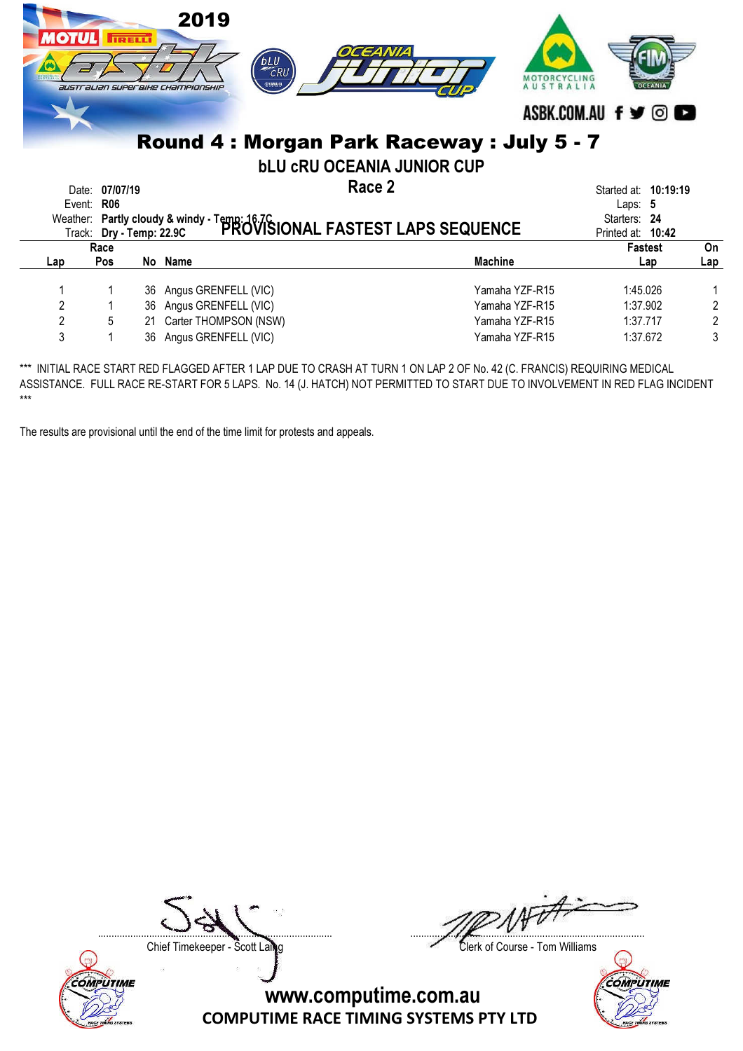| <b>OTULI</b>   |                        | <b>TRELL</b> | 2019<br>bLU<br>$\widetilde{c}$ RU<br>ФУАМАНА<br><b>australian superaihe Championship</b>                   | OCEANIA<br>AUSTRA                                                             | ASBK.COM.AU f y ©                                                      |                |
|----------------|------------------------|--------------|------------------------------------------------------------------------------------------------------------|-------------------------------------------------------------------------------|------------------------------------------------------------------------|----------------|
|                |                        |              |                                                                                                            | Round 4: Morgan Park Raceway: July 5 - 7<br><b>bLU CRU OCEANIA JUNIOR CUP</b> |                                                                        |                |
| Date:          | 07/07/19<br>Event: R06 |              | Weather: Partly cloudy & windy - Temp: 16.7C<br>Track: Dry - Temp: 22.9C PROVISIONAL FASTEST LAPS SEQUENCE | Race 2                                                                        | Started at: 10:19:19<br>Laps: $5$<br>Starters: 24<br>Printed at: 10:42 |                |
|                | Race                   |              |                                                                                                            |                                                                               | Fastest                                                                | On             |
| Lap            | <b>Pos</b>             |              | No Name                                                                                                    | <b>Machine</b>                                                                | Lap                                                                    | Lap            |
|                |                        | 36           | Angus GRENFELL (VIC)                                                                                       | Yamaha YZF-R15                                                                | 1:45.026                                                               |                |
| $\overline{2}$ |                        | 36           | Angus GRENFELL (VIC)                                                                                       | Yamaha YZF-R15                                                                | 1:37.902                                                               | $\overline{2}$ |
| 2              | 5                      | 21           | Carter THOMPSON (NSW)                                                                                      | Yamaha YZF-R15                                                                | 1:37.717                                                               | $\overline{2}$ |
| 3              |                        | 36           | Angus GRENFELL (VIC)                                                                                       | Yamaha YZF-R15                                                                | 1:37.672                                                               | 3              |

The results are provisional until the end of the time limit for protests and appeals.



....................................................................................... .......................................................................................

Chief Timekeeper - Scott Laing Clerk of Course - Tom Williams

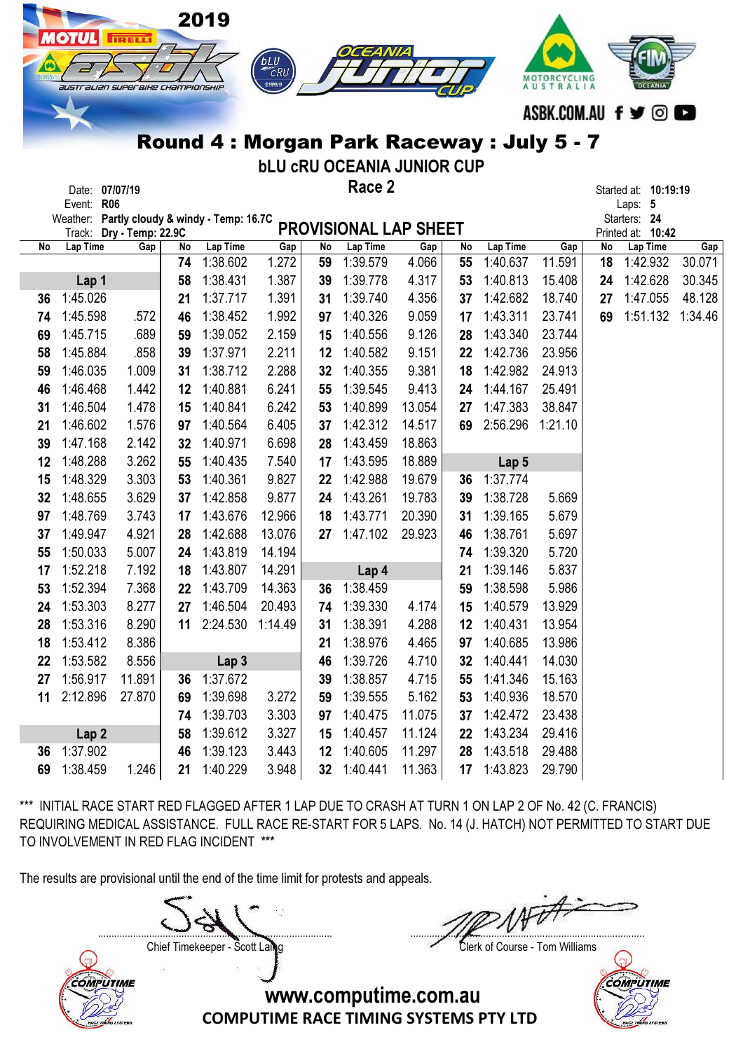|    |                                        |                          |          | 2019                                |                |                 |                                             |                 |          |                      |                  |    |                                 |                       |
|----|----------------------------------------|--------------------------|----------|-------------------------------------|----------------|-----------------|---------------------------------------------|-----------------|----------|----------------------|------------------|----|---------------------------------|-----------------------|
|    | <b>OTUL</b>                            | <b>ITRELLI</b>           |          |                                     |                |                 |                                             |                 |          |                      |                  |    |                                 |                       |
|    |                                        |                          |          |                                     | <b>bLU</b>     |                 |                                             |                 |          |                      |                  |    |                                 |                       |
|    | australian superaixe championskip      |                          |          |                                     | ФУЛМАНА        |                 |                                             |                 |          |                      | AUSTRALIA        |    |                                 |                       |
|    |                                        |                          |          |                                     |                |                 |                                             |                 |          |                      |                  |    | ASBK.COM.AU f ♥ © I             | $\blacktriangleright$ |
|    |                                        |                          |          |                                     |                |                 |                                             |                 |          |                      |                  |    |                                 |                       |
|    |                                        |                          |          |                                     |                |                 | Round 4: Morgan Park Raceway: July 5 - 7    |                 |          |                      |                  |    |                                 |                       |
|    |                                        |                          |          |                                     |                |                 | <b>bLU CRU OCEANIA JUNIOR CUP</b><br>Race 2 |                 |          |                      |                  |    |                                 |                       |
|    | Date: 07/07/19<br><b>R06</b><br>Event: |                          |          |                                     |                |                 |                                             |                 |          |                      |                  |    | Started at: 10:19:19<br>Laps: 5 |                       |
|    | Weather:                               |                          |          | Partly cloudy & windy - Temp: 16.7C |                |                 |                                             |                 |          |                      |                  |    | Starters: 24                    |                       |
| No | Track:<br>Lap Time                     | Dry - Temp: 22.9C<br>Gap | No       | Lap Time                            | Gap            | No              | <b>PROVISIONAL LAP SHEET</b><br>Lap Time    | Gap             | No       | Lap Time             | Gap              | No | Printed at: 10:42<br>Lap Time   | Gap                   |
|    |                                        |                          | 74       | 1:38.602                            | 1.272          | 59              | 1:39.579                                    | 4.066           | 55       | 1:40.637             | 11.591           | 18 | 1:42.932                        | 30.071                |
|    | Lap 1                                  |                          | 58       | 1:38.431                            | 1.387          | 39              | 1:39.778                                    | 4.317           | 53       | 1:40.813             | 15.408           | 24 | 1:42.628                        | 30.345                |
| 36 | 1:45.026                               |                          | 21       | 1:37.717                            | 1.391          | 31              | 1:39.740                                    | 4.356           | 37       | 1:42.682             | 18.740           | 27 | 1:47.055                        | 48.128                |
| 74 | 1:45.598                               | .572                     | 46       | 1:38.452                            | 1.992          | 97              | 1:40.326                                    | 9.059           | 17       | 1:43.311             | 23.741           | 69 | 1:51.132                        | 1:34.46               |
| 69 | 1:45.715                               | .689                     | 59       | 1:39.052                            | 2.159          | 15              | 1:40.556                                    | 9.126           | 28       | 1:43.340             | 23.744           |    |                                 |                       |
| 58 | 1:45.884                               | .858                     | 39       | 1:37.971                            | 2.211          | 12              | 1:40.582                                    | 9.151           | 22       | 1:42.736             | 23.956           |    |                                 |                       |
| 59 | 1:46.035                               | 1.009                    | 31       | 1:38.712                            | 2.288          | 32              | 1:40.355                                    | 9.381           | 18       | 1:42.982             | 24.913           |    |                                 |                       |
| 46 | 1:46.468                               | 1.442                    | 12       | 1:40.881                            | 6.241          | 55              | 1:39.545                                    | 9.413           | 24       | 1:44.167             | 25.491           |    |                                 |                       |
| 31 | 1:46.504                               | 1.478                    | 15       | 1:40.841                            | 6.242          | 53              | 1:40.899                                    | 13.054          | 27       | 1:47.383             | 38.847           |    |                                 |                       |
| 21 | 1:46.602                               | 1.576                    | 97       | 1:40.564                            | 6.405          | 37              | 1:42.312                                    | 14.517          | 69       | 2:56.296             | 1:21.10          |    |                                 |                       |
| 39 | 1:47.168                               | 2.142                    | 32       | 1:40.971                            | 6.698          | 28              | 1:43.459                                    | 18.863          |          |                      |                  |    |                                 |                       |
| 12 | 1:48.288                               | 3.262                    | 55       | 1:40.435                            | 7.540          | 17              | 1:43.595                                    | 18.889          |          | Lap <sub>5</sub>     |                  |    |                                 |                       |
| 15 | 1:48.329                               | 3.303                    | 53       | 1:40.361                            | 9.827          | 22              | 1:42.988                                    | 19.679          | 36       | 1:37.774             |                  |    |                                 |                       |
| 32 | 1:48.655                               | 3.629                    | 37       | 1:42.858                            | 9.877          | 24              | 1:43.261                                    | 19.783          | 39       | 1:38.728             | 5.669            |    |                                 |                       |
| 97 | 1:48.769                               | 3.743                    | 17       | 1:43.676                            | 12.966         | 18              | 1:43.771                                    | 20.390          | 31       | 1:39.165             | 5.679            |    |                                 |                       |
| 37 | 1:49.947                               | 4.921                    | 28       | 1:42.688                            | 13.076         | 27              | 1:47.102                                    | 29.923          | 46       | 1:38.761             | 5.697            |    |                                 |                       |
| 55 | 1:50.033                               | 5.007                    | 24       | 1:43.819                            | 14.194         |                 |                                             |                 | 74       | 1:39.320             | 5.720            |    |                                 |                       |
| 17 | 1:52.218                               | 7.192                    | 18       | 1:43.807                            | 14.291         |                 | Lap 4                                       |                 | 21       | 1:39.146             | 5.837            |    |                                 |                       |
| 53 | 1:52.394                               | 7.368                    | 22       | 1:43.709                            | 14.363         | 36              | 1:38.459                                    |                 | 59       | 1:38.598             | 5.986            |    |                                 |                       |
| 24 | 1:53.303                               | 8.277                    | 27       | 1:46.504                            | 20.493         | 74              | 1:39.330                                    | 4.174           | 15       | 1:40.579             | 13.929           |    |                                 |                       |
| 28 | 1:53.316                               | 8.290                    | 11       | 2:24.530                            | 1:14.49        | 31              | 1:38.391                                    | 4.288           | 12       | 1:40.431             | 13.954           |    |                                 |                       |
| 18 | 1:53.412                               | 8.386                    |          |                                     |                | 21              | 1:38.976                                    | 4.465           | 97       | 1:40.685             | 13.986           |    |                                 |                       |
| 22 | 1:53.582                               | 8.556                    |          | Lap <sub>3</sub>                    |                | 46              | 1:39.726                                    | 4.710           | 32       | 1:40.441             | 14.030           |    |                                 |                       |
| 27 | 1:56.917                               | 11.891                   | 36       | 1:37.672                            |                | 39              | 1:38.857                                    | 4.715           | 55       | 1:41.346             | 15.163           |    |                                 |                       |
| 11 | 2:12.896                               | 27.870                   | 69       | 1:39.698<br>1:39.703                | 3.272          | 59              | 1:39.555<br>1:40.475                        | 5.162<br>11.075 | 53       | 1:40.936             | 18.570<br>23.438 |    |                                 |                       |
|    |                                        |                          | 74<br>58 | 1:39.612                            | 3.303<br>3.327 | 97<br>15        | 1:40.457                                    | 11.124          | 37<br>22 | 1:42.472<br>1:43.234 | 29.416           |    |                                 |                       |
| 36 | Lap <sub>2</sub><br>1:37.902           |                          | 46       | 1:39.123                            | 3.443          | 12              | 1:40.605                                    | 11.297          | 28       | 1:43.518             | 29.488           |    |                                 |                       |
| 69 | 1:38.459                               | 1.246                    | 21       | 1:40.229                            | 3.948          | 32 <sub>2</sub> | 1:40.441                                    | 11.363          | 17       | 1:43.823             | 29.790           |    |                                 |                       |
|    |                                        |                          |          |                                     |                |                 |                                             |                 |          |                      |                  |    |                                 |                       |

The results are provisional until the end of the time limit for protests and appeals.

**COMPUTIME** 

....................................................................................... ....................................................................................... Chief Timekeeper - Scott Laing Clerk of Course - Tom Williams



www.computime.com.au

COMPUTIME RACE TIMING SYSTEMS PTY LTD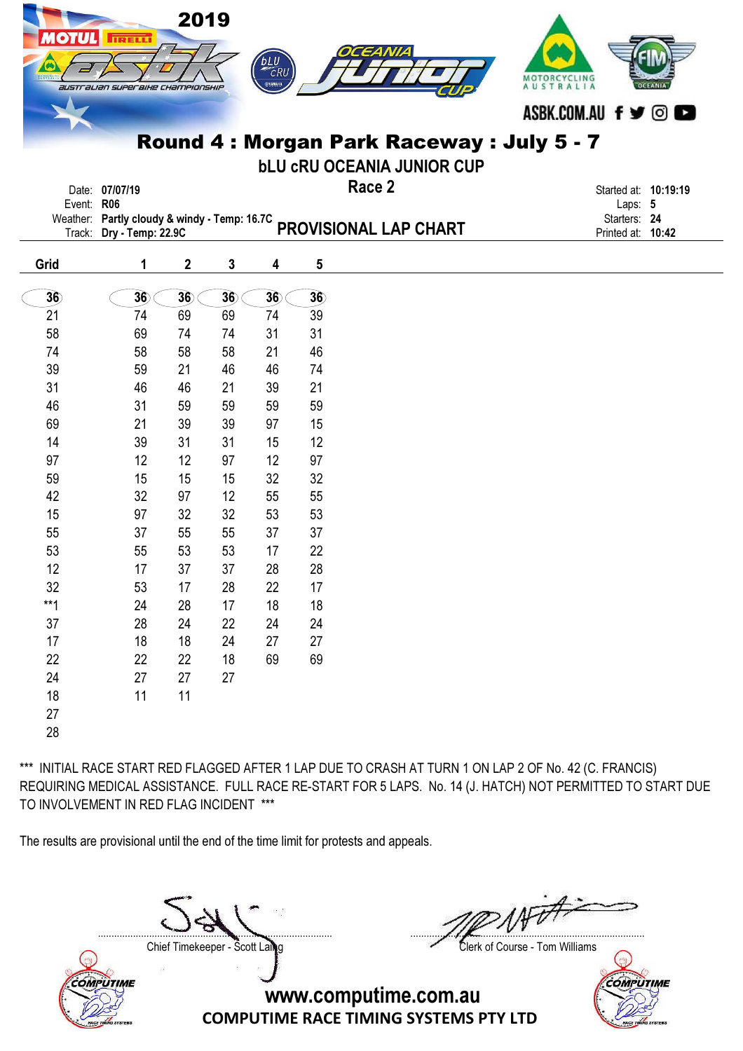| <b>OTUL</b> | <b>TRELL</b><br>australian superaixe championskip                        | 2019             |    | bLU<br>CRU<br>⊕удмана |    | OCEANIA                                                                       | MOTORCYCLING<br>AUSTRALIA<br>ASBK.COM.AU f y © |
|-------------|--------------------------------------------------------------------------|------------------|----|-----------------------|----|-------------------------------------------------------------------------------|------------------------------------------------|
|             |                                                                          |                  |    |                       |    | Round 4: Morgan Park Raceway: July 5 - 7<br><b>bLU CRU OCEANIA JUNIOR CUP</b> |                                                |
|             | Date: 07/07/19<br>Event: R06                                             |                  |    |                       |    | Race 2                                                                        | Started at: 10:19:19<br>Laps: 5                |
|             | Weather: Partly cloudy & windy - Temp: 16.7C<br>Track: Dry - Temp: 22.9C |                  |    |                       |    | PROVISIONAL LAP CHART                                                         | Starters: 24<br>Printed at: 10:42              |
| Grid        | 1                                                                        | $\boldsymbol{2}$ | 3  | 4                     | 5  |                                                                               |                                                |
| 36          | 36                                                                       | 36               | 36 | 36                    | 36 |                                                                               |                                                |
| 21          | 74                                                                       | 69               | 69 | 74                    | 39 |                                                                               |                                                |
| 58          | 69                                                                       | 74               | 74 | 31                    | 31 |                                                                               |                                                |
| 74          | 58                                                                       | 58               | 58 | 21                    | 46 |                                                                               |                                                |
| 39          | 59                                                                       | 21               | 46 | 46                    | 74 |                                                                               |                                                |
| 31          | 46                                                                       | 46               | 21 | 39                    | 21 |                                                                               |                                                |
| 46          | 31                                                                       | 59               | 59 | 59                    | 59 |                                                                               |                                                |
| 69          | 21                                                                       | 39               | 39 | 97                    | 15 |                                                                               |                                                |
| 14          | 39                                                                       | 31               | 31 | 15                    | 12 |                                                                               |                                                |
| 97          | 12                                                                       | 12               | 97 | 12                    | 97 |                                                                               |                                                |
| 59          | 15                                                                       | 15               | 15 | 32                    | 32 |                                                                               |                                                |
| 42          | 32                                                                       | 97               | 12 | 55                    | 55 |                                                                               |                                                |
| 15          | 97                                                                       | 32               | 32 | 53                    | 53 |                                                                               |                                                |
| 55          | 37                                                                       | 55               | 55 | 37                    | 37 |                                                                               |                                                |
| 53          | 55                                                                       | 53               | 53 | 17                    | 22 |                                                                               |                                                |
| 12          | 17                                                                       | 37               | 37 | 28                    | 28 |                                                                               |                                                |
| 32          | 53                                                                       | 17               | 28 | 22                    | 17 |                                                                               |                                                |
| $**1$       | 24                                                                       | 28               | 17 | 18                    | 18 |                                                                               |                                                |
| $37\,$      | 28                                                                       | 24               | 22 | 24                    | 24 |                                                                               |                                                |
| 17          | 18                                                                       | 18               | 24 | 27                    | 27 |                                                                               |                                                |
| 22          | 22                                                                       | 22               | 18 | 69                    | 69 |                                                                               |                                                |
| 24          | 27                                                                       | 27               | 27 |                       |    |                                                                               |                                                |
| $18\,$      | 11                                                                       | 11               |    |                       |    |                                                                               |                                                |
| 27          |                                                                          |                  |    |                       |    |                                                                               |                                                |

28

\*\*\* INITIAL RACE START RED FLAGGED AFTER 1 LAP DUE TO CRASH AT TURN 1 ON LAP 2 OF No. 42 (C. FRANCIS) REQUIRING MEDICAL ASSISTANCE. FULL RACE RE-START FOR 5 LAPS. No. 14 (J. HATCH) NOT PERMITTED TO START DUE TO INVOLVEMENT IN RED FLAG INCIDENT \*\*\*

The results are provisional until the end of the time limit for protests and appeals.

....................................................................................... .......................................................................................



Chief Timekeeper - Scott Laing Clerk of Course - Tom Williams

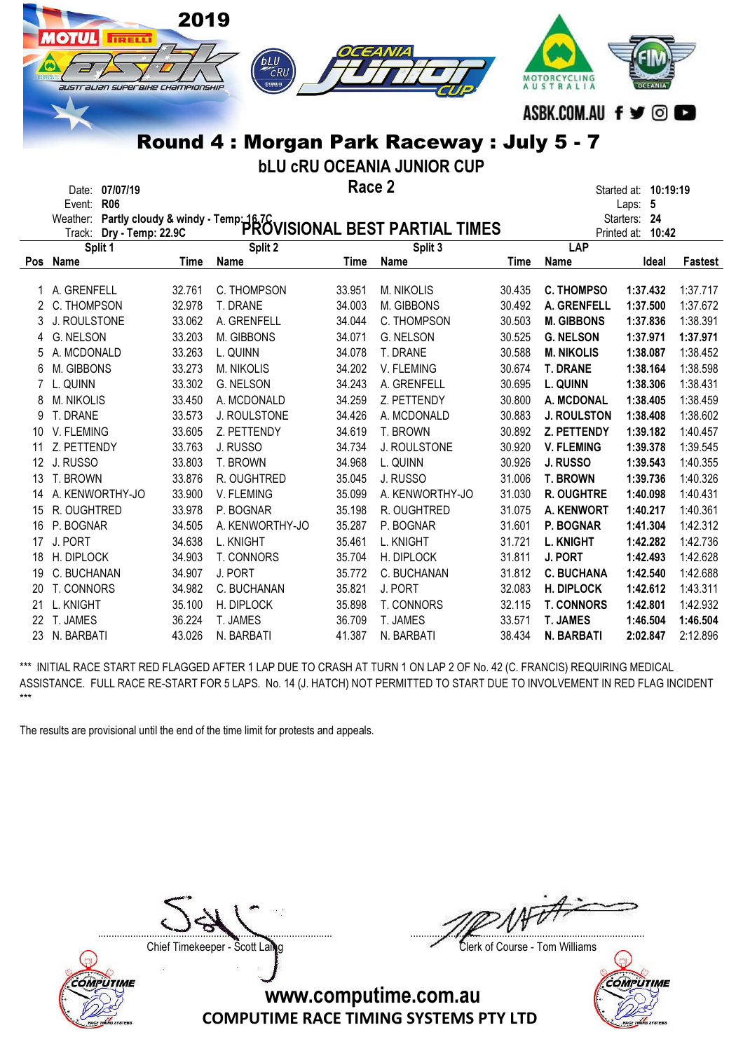|                 | <b>IOTUL</b><br><b>IRELLI</b><br>$\bullet$<br>australian superaixe championship | 2019             | <b>BLU</b><br>⊜удмана<br>Round 4: Morgan Park Raceway: July 5 - 7                                       |                  |                                   |                  | MOTORCYCLING<br>AUSTRALIA<br>ASBK.COM.AU f y © O | OCEANIA              |                      |
|-----------------|---------------------------------------------------------------------------------|------------------|---------------------------------------------------------------------------------------------------------|------------------|-----------------------------------|------------------|--------------------------------------------------|----------------------|----------------------|
|                 |                                                                                 |                  |                                                                                                         |                  | <b>bLU CRU OCEANIA JUNIOR CUP</b> |                  |                                                  |                      |                      |
|                 | Date: 07/07/19                                                                  |                  |                                                                                                         | Race 2           |                                   |                  |                                                  | Started at: 10:19:19 |                      |
|                 | Event: R06                                                                      |                  |                                                                                                         |                  |                                   |                  |                                                  | Laps: 5              |                      |
|                 |                                                                                 |                  | Weather: Partly cloudy & windy - Temp: 16.7C<br>Trock: Dry - Temp: 22.9C PROVISIONAL BEST PARTIAL TIMES |                  |                                   |                  |                                                  | Starters: 24         |                      |
|                 |                                                                                 |                  |                                                                                                         |                  |                                   |                  |                                                  | Printed at: 10:42    |                      |
|                 | Split 1<br>Pos Name                                                             | <b>Time</b>      | Split 2<br>Name                                                                                         | <b>Time</b>      | Split 3<br><b>Name</b>            | <b>Time</b>      | LAP<br><b>Name</b>                               | Ideal                | <b>Fastest</b>       |
|                 |                                                                                 |                  |                                                                                                         |                  |                                   |                  |                                                  |                      |                      |
|                 | 1 A. GRENFELL                                                                   | 32.761           | C. THOMPSON                                                                                             | 33.951           | M. NIKOLIS                        | 30.435           | <b>C. THOMPSO</b>                                | 1:37.432             | 1:37.717             |
| 2               | C. THOMPSON                                                                     | 32.978           | T. DRANE                                                                                                | 34.003           | M. GIBBONS                        | 30.492           | A. GRENFELL                                      | 1:37.500             | 1:37.672             |
| 3               | J. ROULSTONE                                                                    | 33.062           | A. GRENFELL                                                                                             | 34.044           | C. THOMPSON                       | 30.503           | <b>M. GIBBONS</b>                                | 1:37.836             | 1:38.391             |
| 4               | G. NELSON                                                                       | 33.203           | M. GIBBONS                                                                                              | 34.071           | G. NELSON                         | 30.525           | <b>G. NELSON</b>                                 | 1:37.971             | 1:37.971             |
| 5               | A. MCDONALD                                                                     | 33.263           | L. QUINN                                                                                                | 34.078           | T. DRANE                          | 30.588           | <b>M. NIKOLIS</b>                                | 1:38.087             | 1:38.452             |
| 6               | M. GIBBONS                                                                      | 33.273           | M. NIKOLIS                                                                                              | 34.202           | V. FLEMING                        | 30.674           | <b>T. DRANE</b>                                  | 1:38.164             | 1:38.598             |
| $7^{\circ}$     | L. QUINN                                                                        | 33.302           | G. NELSON                                                                                               | 34.243           | A. GRENFELL                       | 30.695           | L. QUINN                                         | 1:38.306             | 1:38.431             |
| 8               | <b>M. NIKOLIS</b>                                                               | 33.450           | A. MCDONALD                                                                                             | 34.259           | Z. PETTENDY                       | 30.800           | A. MCDONAL                                       | 1:38.405             | 1:38.459             |
| 9               | T. DRANE                                                                        | 33.573           | J. ROULSTONE                                                                                            | 34.426           | A. MCDONALD                       | 30.883           | <b>J. ROULSTON</b>                               | 1:38.408             | 1:38.602             |
| 10              | V. FLEMING                                                                      | 33.605           | Z. PETTENDY                                                                                             | 34.619           | T. BROWN                          | 30.892           | Z. PETTENDY                                      | 1:39.182             | 1:40.457             |
| 11              | Z. PETTENDY                                                                     | 33.763           | J. RUSSO                                                                                                | 34.734           | J. ROULSTONE                      | 30.920           | <b>V. FLEMING</b>                                | 1:39.378             | 1:39.545             |
| 12 <sup>°</sup> | J. RUSSO                                                                        | 33.803           | T. BROWN                                                                                                | 34.968           | L. QUINN                          | 30.926           | J. RUSSO                                         | 1:39.543             | 1:40.355             |
| 13              | T. BROWN                                                                        | 33.876           | R. OUGHTRED                                                                                             | 35.045           | J. RUSSO                          | 31.006           | <b>T. BROWN</b>                                  | 1:39.736             | 1:40.326             |
| 14              | A. KENWORTHY-JO                                                                 | 33.900           | V. FLEMING                                                                                              | 35.099           | A. KENWORTHY-JO                   | 31.030           | R. OUGHTRE                                       | 1:40.098             | 1:40.431             |
| 15              | R. OUGHTRED                                                                     | 33.978           | P. BOGNAR                                                                                               | 35.198           | R. OUGHTRED                       | 31.075           | A. KENWORT                                       | 1:40.217             | 1:40.361             |
| 16              | P. BOGNAR                                                                       | 34.505           | A. KENWORTHY-JO                                                                                         | 35.287           | P. BOGNAR                         | 31.601           | P. BOGNAR                                        | 1:41.304             | 1:42.312             |
| 17              | J. PORT                                                                         | 34.638           | L. KNIGHT                                                                                               | 35.461           | L. KNIGHT                         | 31.721           | <b>L. KNIGHT</b>                                 | 1:42.282             | 1:42.736             |
| 18              | H. DIPLOCK                                                                      | 34.903           | T. CONNORS                                                                                              | 35.704           | H. DIPLOCK                        | 31.811           | J. PORT                                          | 1:42.493             | 1:42.628             |
| 19              | C. BUCHANAN                                                                     | 34.907           | J. PORT                                                                                                 | 35.772           | C. BUCHANAN                       | 31.812           | <b>C. BUCHANA</b>                                | 1:42.540             | 1:42.688             |
| 20<br>21        | T. CONNORS<br>L. KNIGHT                                                         | 34.982<br>35.100 | C. BUCHANAN<br>H. DIPLOCK                                                                               | 35.821<br>35.898 | J. PORT<br>T. CONNORS             | 32.083<br>32.115 | H. DIPLOCK<br><b>T. CONNORS</b>                  | 1:42.612<br>1:42.801 | 1:43.311<br>1:42.932 |
|                 |                                                                                 |                  |                                                                                                         |                  |                                   |                  |                                                  |                      |                      |

22 T. JAMES 36.224 T. JAMES 36.709 T. JAMES 33.571 T. JAMES 1:46.504 1:46.504 23 N. BARBATI 43.026 N. BARBATI 41.387 N. BARBATI 38.434 N. BARBATI 2:02.847 2:12.896

The results are provisional until the end of the time limit for protests and appeals.

**COMPUTIME** 

....................................................................................... .......................................................................................

Chief Timekeeper - Scott Laing Clerk of Course - Tom Williams

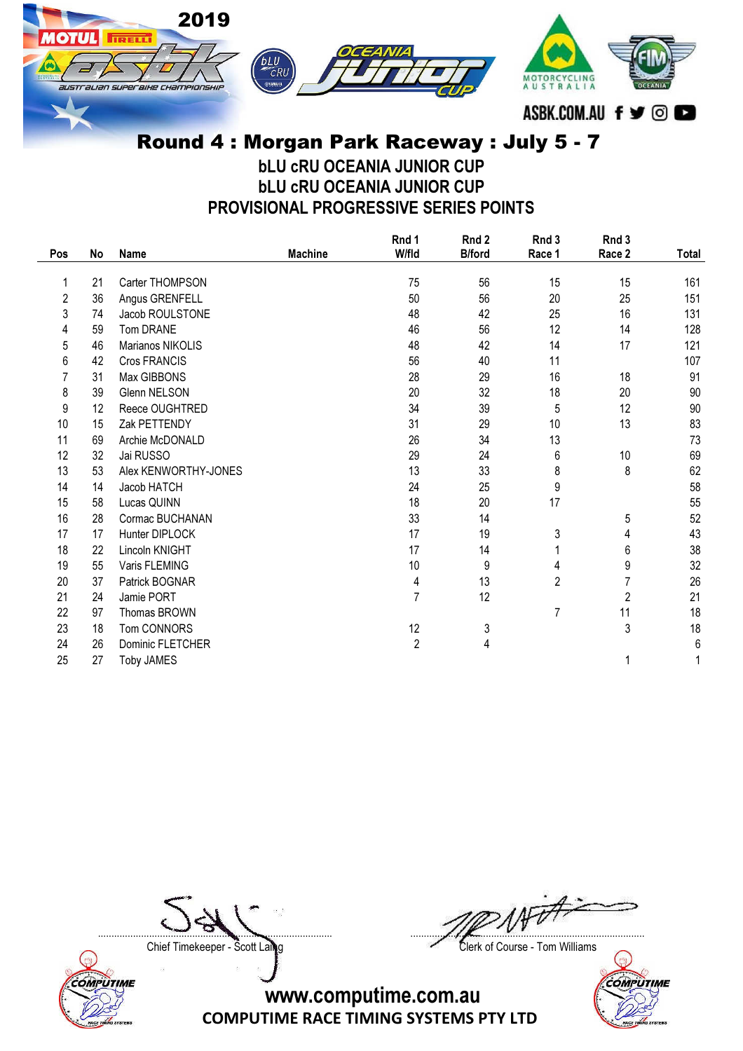

## Round 4 : Morgan Park Raceway : July 5 - 7

bLU cRU OCEANIA JUNIOR CUP bLU cRU OCEANIA JUNIOR CUP PROVISIONAL PROGRESSIVE SERIES POINTS

|     |    |                      |                | Rnd 1          | Rnd 2         | Rnd 3  | Rnd 3          |       |
|-----|----|----------------------|----------------|----------------|---------------|--------|----------------|-------|
| Pos | No | <b>Name</b>          | <b>Machine</b> | W/fld          | <b>B/ford</b> | Race 1 | Race 2         | Total |
| 1   | 21 | Carter THOMPSON      |                | 75             | 56            | 15     | 15             | 161   |
| 2   | 36 | Angus GRENFELL       |                | 50             | 56            | 20     | 25             | 151   |
| 3   | 74 | Jacob ROULSTONE      |                | 48             | 42            | 25     | 16             | 131   |
| 4   | 59 | Tom DRANE            |                | 46             | 56            | 12     | 14             | 128   |
| 5   | 46 | Marianos NIKOLIS     |                | 48             | 42            | 14     | 17             | 121   |
| 6   | 42 | Cros FRANCIS         |                | 56             | 40            | 11     |                | 107   |
| 7   | 31 | Max GIBBONS          |                | 28             | 29            | 16     | 18             | 91    |
| 8   | 39 | Glenn NELSON         |                | 20             | 32            | 18     | 20             | 90    |
| 9   | 12 | Reece OUGHTRED       |                | 34             | 39            | 5      | 12             | 90    |
| 10  | 15 | Zak PETTENDY         |                | 31             | 29            | 10     | 13             | 83    |
| 11  | 69 | Archie McDONALD      |                | 26             | 34            | 13     |                | 73    |
| 12  | 32 | Jai RUSSO            |                | 29             | 24            | 6      | 10             | 69    |
| 13  | 53 | Alex KENWORTHY-JONES |                | 13             | 33            | 8      | 8              | 62    |
| 14  | 14 | Jacob HATCH          |                | 24             | 25            | 9      |                | 58    |
| 15  | 58 | Lucas QUINN          |                | 18             | 20            | 17     |                | 55    |
| 16  | 28 | Cormac BUCHANAN      |                | 33             | 14            |        | 5              | 52    |
| 17  | 17 | Hunter DIPLOCK       |                | 17             | 19            | 3      | 4              | 43    |
| 18  | 22 | Lincoln KNIGHT       |                | 17             | 14            | 1      | 6              | 38    |
| 19  | 55 | Varis FLEMING        |                | 10             | 9             | 4      | 9              | 32    |
| 20  | 37 | Patrick BOGNAR       |                | 4              | 13            | 2      | 7              | 26    |
| 21  | 24 | Jamie PORT           |                | $\overline{7}$ | 12            |        | $\overline{c}$ | 21    |
| 22  | 97 | Thomas BROWN         |                |                |               | 7      | 11             | 18    |
| 23  | 18 | Tom CONNORS          |                | 12             | $\sqrt{3}$    |        | 3              | 18    |
| 24  | 26 | Dominic FLETCHER     |                | $\overline{2}$ | 4             |        |                | $6\,$ |
| 25  | 27 | <b>Toby JAMES</b>    |                |                |               |        | 1              |       |

COMPUTIME

....................................................................................... .......................................................................................

Chief Timekeeper - Scott Laing Chief Timekeeper - Scott Laing